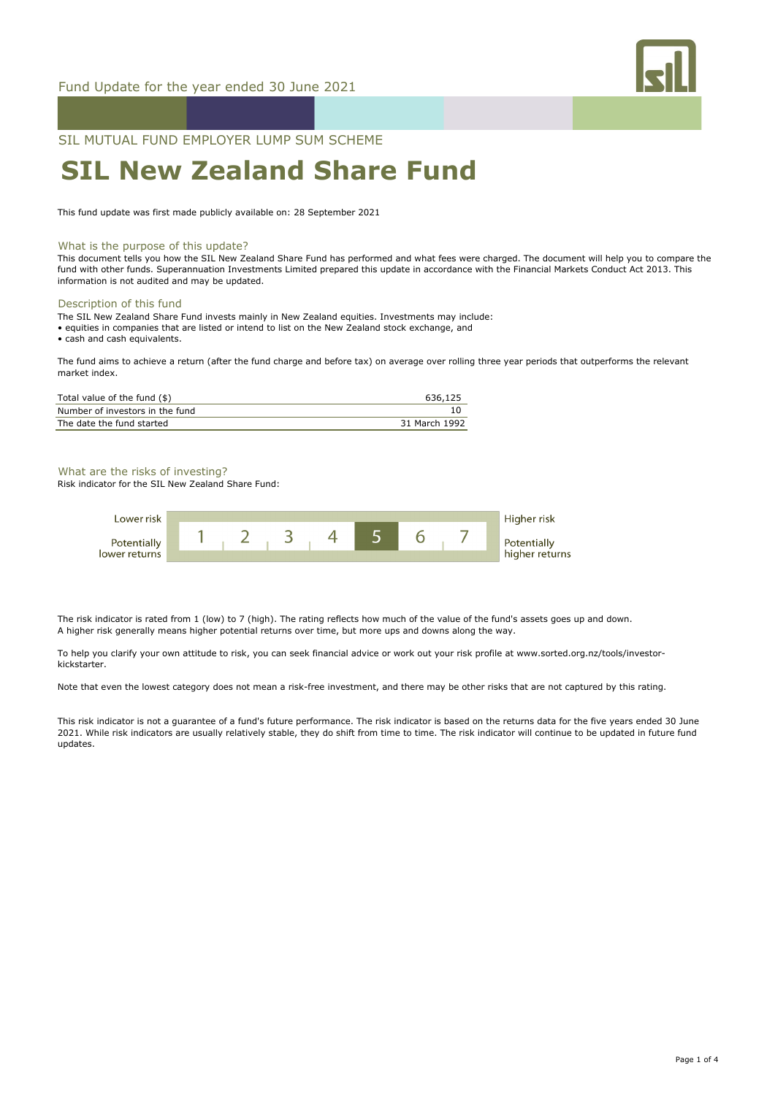

## SIL MUTUAL FUND EMPLOYER LUMP SUM SCHEME

# **SIL New Zealand Share Fund**

This fund update was first made publicly available on: 28 September 2021

#### What is the purpose of this update?

This document tells you how the SIL New Zealand Share Fund has performed and what fees were charged. The document will help you to compare the fund with other funds. Superannuation Investments Limited prepared this update in accordance with the Financial Markets Conduct Act 2013. This information is not audited and may be updated.

### Description of this fund

- The SIL New Zealand Share Fund invests mainly in New Zealand equities. Investments may include:
- equities in companies that are listed or intend to list on the New Zealand stock exchange, and

• cash and cash equivalents.

The fund aims to achieve a return (after the fund charge and before tax) on average over rolling three year periods that outperforms the relevant market index.

| Total value of the fund (\$)    | 636.125       |
|---------------------------------|---------------|
| Number of investors in the fund |               |
| The date the fund started       | 31 March 1992 |

#### What are the risks of investing?

Risk indicator for the SIL New Zealand Share Fund:



The risk indicator is rated from 1 (low) to 7 (high). The rating reflects how much of the value of the fund's assets goes up and down. A higher risk generally means higher potential returns over time, but more ups and downs along the way.

To help you clarify your own attitude to risk, you can seek financial advice or work out your risk profile at www.sorted.org.nz/tools/investorkickstarter.

Note that even the lowest category does not mean a risk-free investment, and there may be other risks that are not captured by this rating.

This risk indicator is not a guarantee of a fund's future performance. The risk indicator is based on the returns data for the five years ended 30 June 2021. While risk indicators are usually relatively stable, they do shift from time to time. The risk indicator will continue to be updated in future fund updates.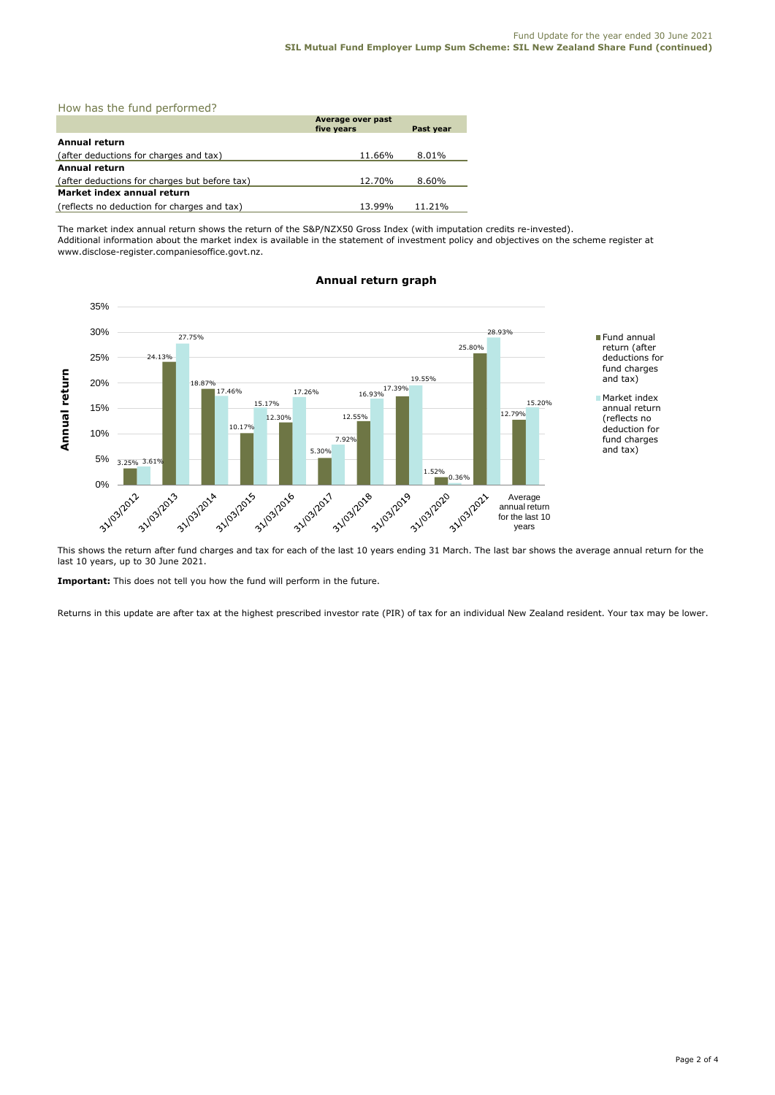|  |  |  |  | How has the fund performed? |  |
|--|--|--|--|-----------------------------|--|
|--|--|--|--|-----------------------------|--|

|                                               | Average over past<br>five years | Past year |  |  |
|-----------------------------------------------|---------------------------------|-----------|--|--|
| <b>Annual return</b>                          |                                 |           |  |  |
| (after deductions for charges and tax)        | 11.66%                          | 8.01%     |  |  |
| <b>Annual return</b>                          |                                 |           |  |  |
| (after deductions for charges but before tax) | 12.70%                          | 8.60%     |  |  |
| Market index annual return                    |                                 |           |  |  |
| (reflects no deduction for charges and tax)   | 13.99%                          | 11.21%    |  |  |

The market index annual return shows the return of the S&P/NZX50 Gross Index (with imputation credits re-invested). Additional information about the market index is available in the statement of investment policy and objectives on the scheme register at www.disclose-register.companiesoffice.govt.nz.



### **Annual return graph**

This shows the return after fund charges and tax for each of the last 10 years ending 31 March. The last bar shows the average annual return for the last 10 years, up to 30 June 2021.

**Important:** This does not tell you how the fund will perform in the future.

Returns in this update are after tax at the highest prescribed investor rate (PIR) of tax for an individual New Zealand resident. Your tax may be lower.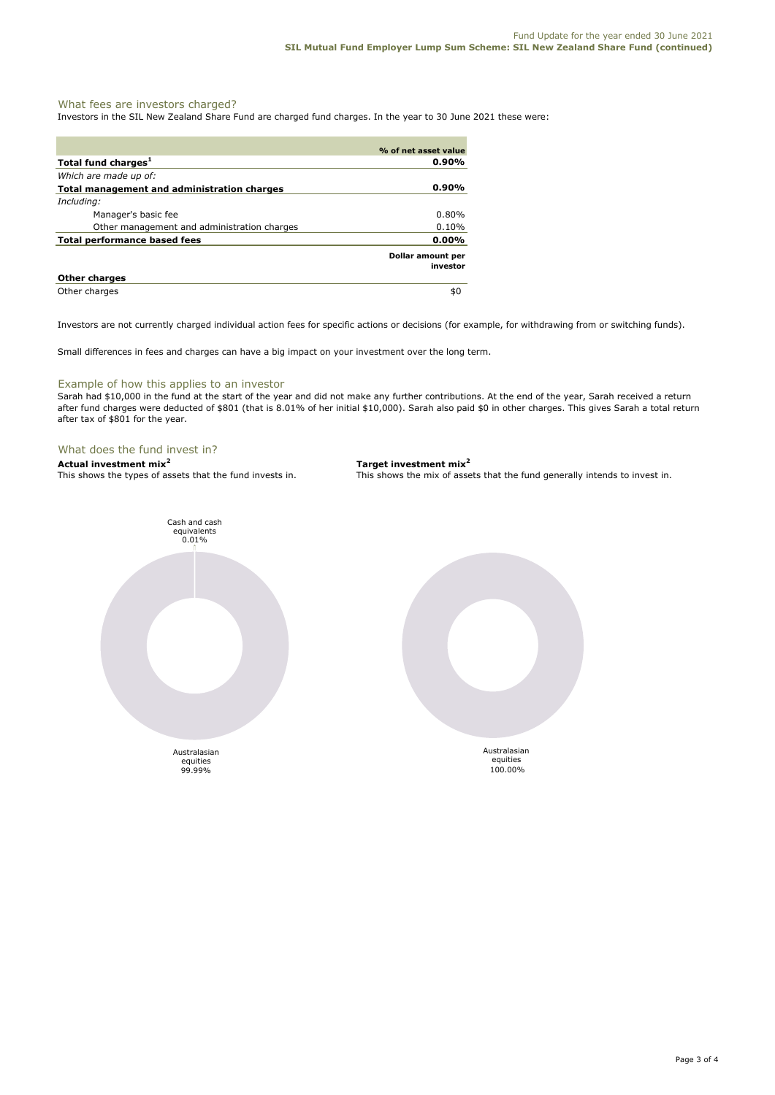#### What fees are investors charged?

Investors in the SIL New Zealand Share Fund are charged fund charges. In the year to 30 June 2021 these were:

|                                             | % of net asset value          |
|---------------------------------------------|-------------------------------|
| Total fund charges <sup>1</sup>             | $0.90\%$                      |
| Which are made up of:                       |                               |
| Total management and administration charges | $0.90\%$                      |
| Including:                                  |                               |
| Manager's basic fee                         | $0.80\%$                      |
| Other management and administration charges | $0.10\%$                      |
| Total performance based fees                | $0.00\%$                      |
|                                             | Dollar amount per<br>investor |
| <b>Other charges</b>                        |                               |
| Other charges                               | \$0                           |

Investors are not currently charged individual action fees for specific actions or decisions (for example, for withdrawing from or switching funds).

Small differences in fees and charges can have a big impact on your investment over the long term.

#### Example of how this applies to an investor

Sarah had \$10,000 in the fund at the start of the year and did not make any further contributions. At the end of the year, Sarah received a return after fund charges were deducted of \$801 (that is 8.01% of her initial \$10,000). Sarah also paid \$0 in other charges. This gives Sarah a total return after tax of \$801 for the year.

#### What does the fund invest in?

**Actual investment mix<sup>2</sup> <b>Target investment mix**<sup>2</sup> **This shows the types of assets that the fund invests in.** This shows the mix of assets

This shows the mix of assets that the fund generally intends to invest in.